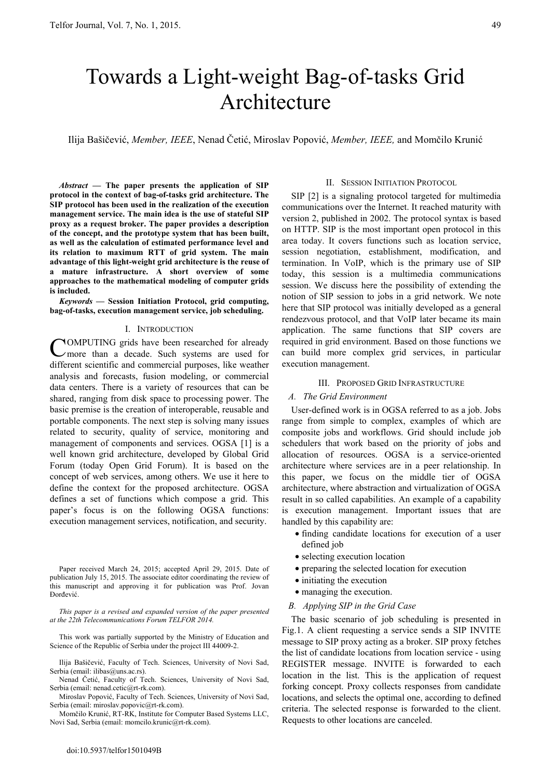# Towards a Light-weight Bag-of-tasks Grid Architecture

Ilija Bašičević, *Member, IEEE*, Nenad Četić, Miroslav Popović, *Member, IEEE,* and Momčilo Krunić

*Abstract* **— The paper presents the application of SIP protocol in the context of bag-of-tasks grid architecture. The SIP protocol has been used in the realization of the execution management service. The main idea is the use of stateful SIP proxy as a request broker. The paper provides a description of the concept, and the prototype system that has been built, as well as the calculation of estimated performance level and its relation to maximum RTT of grid system. The main advantage of this light-weight grid architecture is the reuse of a mature infrastructure. A short overview of some approaches to the mathematical modeling of computer grids is included.** 

*Keywords* **— Session Initiation Protocol, grid computing, bag-of-tasks, execution management service, job scheduling.** 

## I. INTRODUCTION

OMPUTING grids have been researched for already more than a decade. Such systems are used for different scientific and commercial purposes, like weather analysis and forecasts, fusion modeling, or commercial data centers. There is a variety of resources that can be shared, ranging from disk space to processing power. The basic premise is the creation of interoperable, reusable and portable components. The next step is solving many issues related to security, quality of service, monitoring and management of components and services. OGSA [1] is a well known grid architecture, developed by Global Grid Forum (today Open Grid Forum). It is based on the concept of web services, among others. We use it here to define the context for the proposed architecture. OGSA defines a set of functions which compose a grid. This paper's focus is on the following OGSA functions: execution management services, notification, and security. C

Paper received March 24, 2015; accepted April 29, 2015. Date of publication July 15, 2015. The associate editor coordinating the review of this manuscript and approving it for publication was Prof. Jovan Đorđević.

*This paper is a revised and expanded version of the paper presented at the 22th Telecommunications Forum TELFOR 2014.* 

This work was partially supported by the Ministry of Education and Science of the Republic of Serbia under the project III 44009-2.

Ilija Bašičević, Faculty of Tech. Sciences, University of Novi Sad, Serbia (email: ilibas@uns.ac.rs).

Nenad Četić, Faculty of Tech. Sciences, University of Novi Sad, Serbia (email: nenad.cetic@rt-rk.com).

Miroslav Popović, Faculty of Tech. Sciences, University of Novi Sad, Serbia (email: miroslav.popovic@rt-rk.com).

 Momčilo Krunić, RT-RK, Institute for Computer Based Systems LLC, Novi Sad, Serbia (email: momcilo.krunic@rt-rk.com).

#### II. SESSION INITIATION PROTOCOL

SIP [2] is a signaling protocol targeted for multimedia communications over the Internet. It reached maturity with version 2, published in 2002. The protocol syntax is based on HTTP. SIP is the most important open protocol in this area today. It covers functions such as location service, session negotiation, establishment, modification, and termination. In VoIP, which is the primary use of SIP today, this session is a multimedia communications session. We discuss here the possibility of extending the notion of SIP session to jobs in a grid network. We note here that SIP protocol was initially developed as a general rendezvous protocol, and that VoIP later became its main application. The same functions that SIP covers are required in grid environment. Based on those functions we can build more complex grid services, in particular execution management.

## III. PROPOSED GRID INFRASTRUCTURE

#### *A. The Grid Environment*

User-defined work is in OGSA referred to as a job. Jobs range from simple to complex, examples of which are composite jobs and workflows. Grid should include job schedulers that work based on the priority of jobs and allocation of resources. OGSA is a service-oriented architecture where services are in a peer relationship. In this paper, we focus on the middle tier of OGSA architecture, where abstraction and virtualization of OGSA result in so called capabilities. An example of a capability is execution management. Important issues that are handled by this capability are:

- finding candidate locations for execution of a user defined job
- selecting execution location
- preparing the selected location for execution
- initiating the execution
- managing the execution.

## *B. Applying SIP in the Grid Case*

The basic scenario of job scheduling is presented in Fig.1. A client requesting a service sends a SIP INVITE message to SIP proxy acting as a broker. SIP proxy fetches the list of candidate locations from location service - using REGISTER message. INVITE is forwarded to each location in the list. This is the application of request forking concept. Proxy collects responses from candidate locations, and selects the optimal one, according to defined criteria. The selected response is forwarded to the client. Requests to other locations are canceled.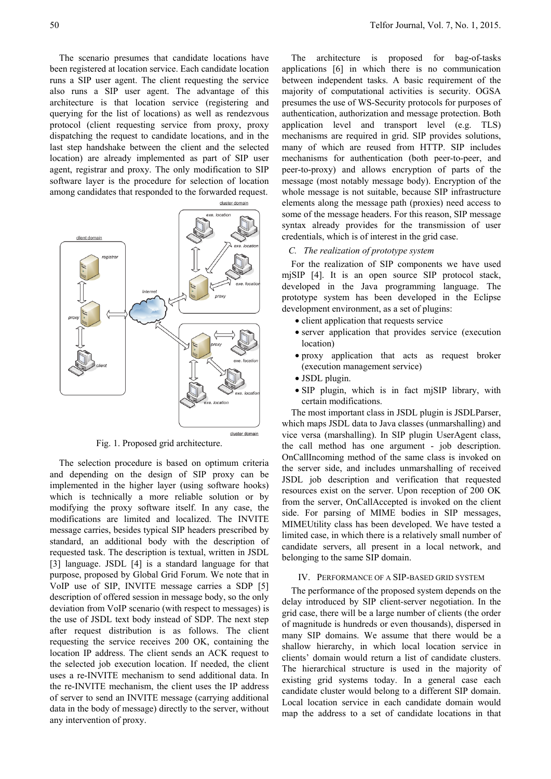The scenario presumes that candidate locations have been registered at location service. Each candidate location runs a SIP user agent. The client requesting the service also runs a SIP user agent. The advantage of this architecture is that location service (registering and querying for the list of locations) as well as rendezvous protocol (client requesting service from proxy, proxy dispatching the request to candidate locations, and in the last step handshake between the client and the selected location) are already implemented as part of SIP user agent, registrar and proxy. The only modification to SIP software layer is the procedure for selection of location among candidates that responded to the forwarded request.



Fig. 1. Proposed grid architecture.

The selection procedure is based on optimum criteria and depending on the design of SIP proxy can be implemented in the higher layer (using software hooks) which is technically a more reliable solution or by modifying the proxy software itself. In any case, the modifications are limited and localized. The INVITE message carries, besides typical SIP headers prescribed by standard, an additional body with the description of requested task. The description is textual, written in JSDL [3] language. JSDL [4] is a standard language for that purpose, proposed by Global Grid Forum. We note that in VoIP use of SIP, INVITE message carries a SDP [5] description of offered session in message body, so the only deviation from VoIP scenario (with respect to messages) is the use of JSDL text body instead of SDP. The next step after request distribution is as follows. The client requesting the service receives 200 OK, containing the location IP address. The client sends an ACK request to the selected job execution location. If needed, the client uses a re-INVITE mechanism to send additional data. In the re-INVITE mechanism, the client uses the IP address of server to send an INVITE message (carrying additional data in the body of message) directly to the server, without any intervention of proxy.

The architecture is proposed for bag-of-tasks applications [6] in which there is no communication between independent tasks. A basic requirement of the majority of computational activities is security. OGSA presumes the use of WS-Security protocols for purposes of authentication, authorization and message protection. Both application level and transport level (e.g. TLS) mechanisms are required in grid. SIP provides solutions, many of which are reused from HTTP. SIP includes mechanisms for authentication (both peer-to-peer, and peer-to-proxy) and allows encryption of parts of the message (most notably message body). Encryption of the whole message is not suitable, because SIP infrastructure elements along the message path (proxies) need access to some of the message headers. For this reason, SIP message syntax already provides for the transmission of user credentials, which is of interest in the grid case.

## *C. The realization of prototype system*

For the realization of SIP components we have used mjSIP [4]. It is an open source SIP protocol stack, developed in the Java programming language. The prototype system has been developed in the Eclipse development environment, as a set of plugins:

- client application that requests service
- server application that provides service (execution location)
- proxy application that acts as request broker (execution management service)
- JSDL plugin.
- SIP plugin, which is in fact mjSIP library, with certain modifications.

The most important class in JSDL plugin is JSDLParser, which maps JSDL data to Java classes (unmarshalling) and vice versa (marshalling). In SIP plugin UserAgent class, the call method has one argument - job description. OnCallIncoming method of the same class is invoked on the server side, and includes unmarshalling of received JSDL job description and verification that requested resources exist on the server. Upon reception of 200 OK from the server, OnCallAccepted is invoked on the client side. For parsing of MIME bodies in SIP messages, MIMEUtility class has been developed. We have tested a limited case, in which there is a relatively small number of candidate servers, all present in a local network, and belonging to the same SIP domain.

## IV. PERFORMANCE OF A SIP-BASED GRID SYSTEM

The performance of the proposed system depends on the delay introduced by SIP client-server negotiation. In the grid case, there will be a large number of clients (the order of magnitude is hundreds or even thousands), dispersed in many SIP domains. We assume that there would be a shallow hierarchy, in which local location service in clients' domain would return a list of candidate clusters. The hierarchical structure is used in the majority of existing grid systems today. In a general case each candidate cluster would belong to a different SIP domain. Local location service in each candidate domain would map the address to a set of candidate locations in that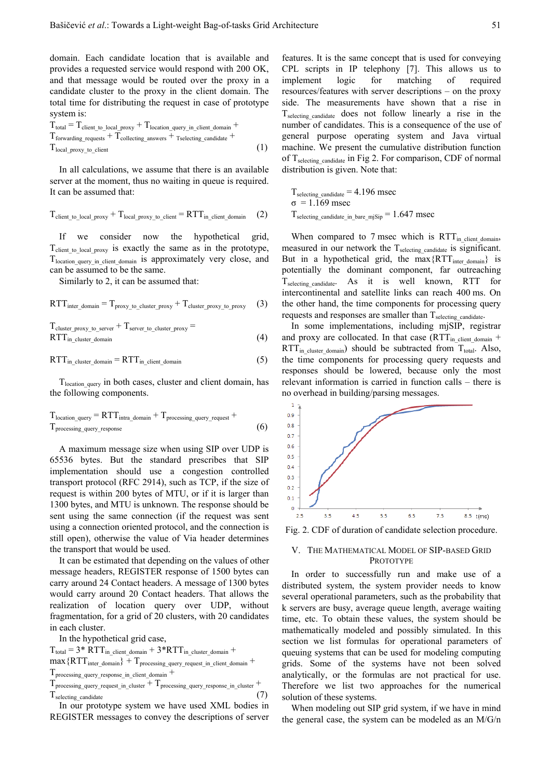domain. Each candidate location that is available and provides a requested service would respond with 200 OK, and that message would be routed over the proxy in a candidate cluster to the proxy in the client domain. The total time for distributing the request in case of prototype system is:

$$
T_{total} = T_{client\_to\_local\_proxy} + T_{location\_query\_in\_client\_domain} + T_{forwarding\_requests} + T_{collecting\_answers} + T_{selecting\_candidate} + T_{local\_proxy\_to\_client}
$$
\n(1)

In all calculations, we assume that there is an available server at the moment, thus no waiting in queue is required. It can be assumed that:

$$
T_{client\_to\_local\_proxy} + T_{local\_proxy\_to\_client} = RTT_{in\_client\_domain} \tag{2}
$$

If we consider now the hypothetical grid, T<sub>client to local proxy</sub> is exactly the same as in the prototype, T<sub>location\_query\_in\_client\_domain</sub> is approximately very close, and can be assumed to be the same.

Similarly to 2, it can be assumed that:

$$
RTT_{inter\_domain} = T_{proxy\_to\_cluster\_proxy} + T_{cluster\_proxy\_to\_proxy} \tag{3}
$$

T<sub>cluster</sub> proxy to server + T<sub>server</sub> to cluster proxy =  $RTT_{in$  cluster domain (4)

$$
RTT_{in\_cluster\_domain} = RTT_{in\_client\_domain}
$$
 (5)

T<sub>location</sub> <sub>query</sub> in both cases, cluster and client domain, has the following components.

$$
T_{location\_query} = RTT_{intra\_domain} + T_{processing\_query\_request} +
$$
  
 
$$
T_{processing\_query\_response}
$$
 (6)

A maximum message size when using SIP over UDP is 65536 bytes. But the standard prescribes that SIP implementation should use a congestion controlled transport protocol (RFC 2914), such as TCP, if the size of request is within 200 bytes of MTU, or if it is larger than 1300 bytes, and MTU is unknown. The response should be sent using the same connection (if the request was sent using a connection oriented protocol, and the connection is still open), otherwise the value of Via header determines the transport that would be used.

It can be estimated that depending on the values of other message headers, REGISTER response of 1500 bytes can carry around 24 Contact headers. A message of 1300 bytes would carry around 20 Contact headers. That allows the realization of location query over UDP, without fragmentation, for a grid of 20 clusters, with 20 candidates in each cluster.

In the hypothetical grid case,

```
T_{\text{total}} = 3*RTT_{\text{in}} client domain + 3*RTT_{\text{in}} cluster domain +
```
 $max\{RTT_{inter\ domain}\} + T_{processing\ current\ current\ current\ circuit}$  =  $T_{other\ domain}$  +

```
Tprocessing_query_response_in_client_domain +
```

```
T_{\text{processing\_query\_request\_in\_cluster}} + T_{\text{processing\_query\_response\_in\_cluster}} +T_{\text{selecting candidate}} (7)
```
In our prototype system we have used XML bodies in REGISTER messages to convey the descriptions of server

features. It is the same concept that is used for conveying CPL scripts in IP telephony [7]. This allows us to implement logic for matching of required resources/features with server descriptions – on the proxy side. The measurements have shown that a rise in  $T_{\text{selecting candidate}}$  does not follow linearly a rise in the number of candidates. This is a consequence of the use of general purpose operating system and Java virtual machine. We present the cumulative distribution function of T<sub>selecting</sub> candidate in Fig 2. For comparison, CDF of normal distribution is given. Note that:

 $T_{\text{selecting\_candidate}} = 4.196$  msec  $σ = 1.169$  msec T<sub>selecting</sub> candidate in bare miSip  $= 1.647$  msec

When compared to 7 msec which is  $RTT_{in$  client domain, measured in our network the  $T_{\text{selecting candidate}}$  is significant. But in a hypothetical grid, the max $\{RTT_{inter domain}\}$  is potentially the dominant component, far outreaching T<sub>selecting</sub> candidate. As it is well known, RTT for intercontinental and satellite links can reach 400 ms. On the other hand, the time components for processing query requests and responses are smaller than  $T_{\text{selecting candidate}}$ .

In some implementations, including mjSIP, registrar and proxy are collocated. In that case  $(RTT_{inclient domain} +$  $RTT_{in\_cluster\_domain}$ ) should be subtracted from  $T_{total}$ . Also, the time components for processing query requests and responses should be lowered, because only the most relevant information is carried in function calls – there is no overhead in building/parsing messages.



Fig. 2. CDF of duration of candidate selection procedure.

## V. THE MATHEMATICAL MODEL OF SIP-BASED GRID PROTOTYPE

In order to successfully run and make use of a distributed system, the system provider needs to know several operational parameters, such as the probability that k servers are busy, average queue length, average waiting time, etc. To obtain these values, the system should be mathematically modeled and possibly simulated. In this section we list formulas for operational parameters of queuing systems that can be used for modeling computing grids. Some of the systems have not been solved analytically, or the formulas are not practical for use. Therefore we list two approaches for the numerical solution of these systems.

When modeling out SIP grid system, if we have in mind the general case, the system can be modeled as an M/G/n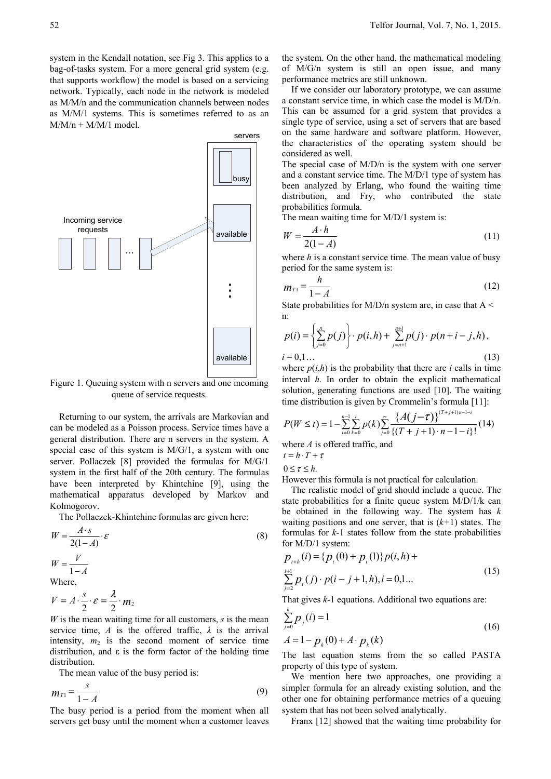system in the Kendall notation, see Fig 3. This applies to a bag-of-tasks system. For a more general grid system (e.g. that supports workflow) the model is based on a servicing network. Typically, each node in the network is modeled as M/M/n and the communication channels between nodes as M/M/1 systems. This is sometimes referred to as an  $M/M/n + M/M/1$  model.



Figure 1. Queuing system with n servers and one incoming queue of service requests.

Returning to our system, the arrivals are Markovian and can be modeled as a Poisson process. Service times have a general distribution. There are n servers in the system. A special case of this system is M/G/1, a system with one server. Pollaczek [8] provided the formulas for M/G/1 system in the first half of the 20th century. The formulas have been interpreted by Khintchine [9], using the mathematical apparatus developed by Markov and Kolmogorov.

The Pollaczek-Khintchine formulas are given here:

$$
W = \frac{A \cdot s}{2(1-A)} \cdot \varepsilon
$$
  
\n
$$
W = \frac{V}{1-A}
$$
  
\nWhere,

$$
V=A\cdot\frac{s}{2}\cdot\varepsilon=\frac{\lambda}{2}\cdot m_2
$$

*W* is the mean waiting time for all customers, *s* is the mean service time, *A* is the offered traffic,  $\lambda$  is the arrival intensity,  $m_2$  is the second moment of service time distribution, and  $\varepsilon$  is the form factor of the holding time distribution.

The mean value of the busy period is:

$$
m_{T1} = \frac{s}{1 - A} \tag{9}
$$

The busy period is a period from the moment when all servers get busy until the moment when a customer leaves

the system. On the other hand, the mathematical modeling of M/G/n system is still an open issue, and many performance metrics are still unknown.

If we consider our laboratory prototype, we can assume a constant service time, in which case the model is M/D/n. This can be assumed for a grid system that provides a single type of service, using a set of servers that are based on the same hardware and software platform. However, the characteristics of the operating system should be considered as well.

The special case of M/D/n is the system with one server and a constant service time. The M/D/1 type of system has been analyzed by Erlang, who found the waiting time distribution, and Fry, who contributed the state probabilities formula.

The mean waiting time for M/D/1 system is:

$$
W = \frac{A \cdot h}{2(1-A)}\tag{11}
$$

where *h* is a constant service time. The mean value of busy period for the same system is:

$$
m_{T1} = \frac{h}{1 - A} \tag{12}
$$

State probabilities for M/D/n system are, in case that  $A \leq$ n:

$$
p(i) = \left\{ \sum_{j=0}^{n} p(j) \right\} \cdot p(i,h) + \sum_{j=n+1}^{n+i} p(j) \cdot p(n+i-j,h),
$$
  
  $i = 0,1...$  (13)

where  $p(i,h)$  is the probability that there are *i* calls in time interval *h*. In order to obtain the explicit mathematical solution, generating functions are used [10]. The waiting time distribution is given by Crommelin's formula [11]:

$$
P(W \le t) = 1 - \sum_{i=0}^{n-1} \sum_{k=0}^{i} p(k) \sum_{j=0}^{\infty} \frac{\{A(j-\tau)\}^{(T+j+1)n-1-i}}{\{(T+j+1) \cdot n-1-i\}!} (14)
$$

where *A* is offered traffic, and

 $t = h \cdot T + \tau$ 

$$
0\leq \tau\leq h.
$$

However this formula is not practical for calculation.

The realistic model of grid should include a queue. The state probabilities for a finite queue system M/D/1/k can be obtained in the following way. The system has *k* waiting positions and one server, that is  $(k+1)$  states. The formulas for *k-*1 states follow from the state probabilities for M/D/1 system:

$$
p_{i+h}(i) = \{p_i(0) + p_i(1)\}p(i,h) + \sum_{j=2}^{i+1} p_i(j) \cdot p(i-j+1,h), i = 0,1... \tag{15}
$$

That gives *k-*1 equations. Additional two equations are:

$$
\sum_{j=0}^{k} p_j(i) = 1
$$
\n
$$
A = 1 - p_k(0) + A \cdot p_k(k)
$$
\n(16)

The last equation stems from the so called PASTA property of this type of system.

We mention here two approaches, one providing a simpler formula for an already existing solution, and the other one for obtaining performance metrics of a queuing system that has not been solved analytically.

Franx [12] showed that the waiting time probability for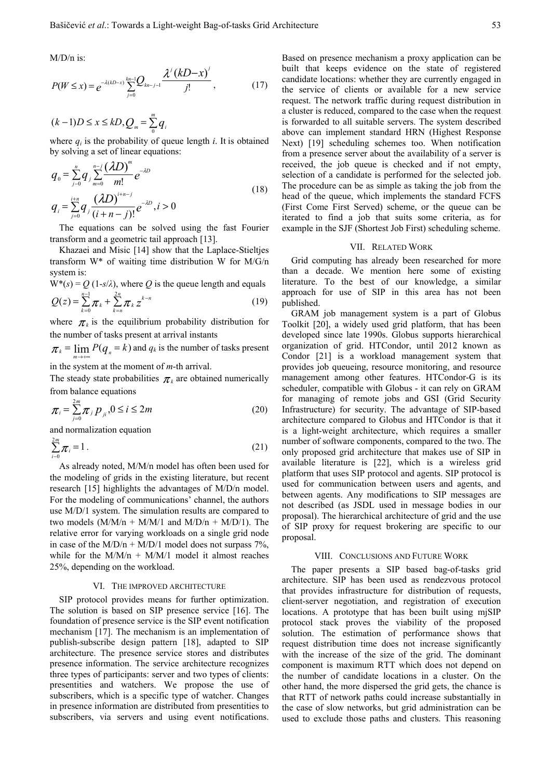M/D/n is:

$$
P(W \le x) = e^{-\lambda(kD-x)} \sum_{j=0}^{kn-1} Q_{kn-j-1} \frac{\lambda^j (kD-x)^j}{j!},
$$
 (17)

$$
(k-1)D \le x \le kD, Q_m = \sum_{0}^{m} q_i
$$

where  $q_i$  is the probability of queue length *i*. It is obtained by solving a set of linear equations:

$$
q_{0} = \sum_{j=0}^{n} q_{j} \sum_{m=0}^{n-j} \frac{(\lambda D)^{m}}{m!} e^{-\lambda D}
$$
  
\n
$$
q_{i} = \sum_{j=0}^{i+n} q_{j} \frac{(\lambda D)^{i+n-j}}{(i+n-j)!} e^{-\lambda D}, i > 0
$$
\n(18)

The equations can be solved using the fast Fourier transform and a geometric tail approach [13].

Khazaei and Misic [14] show that the Laplace-Stieltjes transform W\* of waiting time distribution W for M/G/n system is:

$$
W^*(s) = Q (1-s/\lambda), \text{ where } Q \text{ is the queue length and equals}
$$
  
 
$$
Q(z) = \sum_{k=0}^{n-1} \pi_k + \sum_{k=n}^{2n} \pi_k z^{k-n}
$$
 (19)

where  $\pi_k$  is the equilibrium probability distribution for the number of tasks present at arrival instants

 $\pi_k = \lim_{m \to +\infty} P(q_n = k)$  and  $q_k$  is the number of tasks present

in the system at the moment of *m*-th arrival.

The steady state probabilities  $\pi_k$  are obtained numerically from balance equations

$$
\pi_i = \sum_{j=0}^{2m} \pi_j p_{ji}, 0 \le i \le 2m
$$
 (20)

and normalization equation

$$
\sum_{i=0}^{2m} \pi_i = 1.
$$
 (21)

As already noted, M/M/n model has often been used for the modeling of grids in the existing literature, but recent research [15] highlights the advantages of M/D/n model. For the modeling of communications' channel, the authors use M/D/1 system. The simulation results are compared to two models  $(M/M/n + M/M/1$  and  $M/D/n + M/D/1$ ). The relative error for varying workloads on a single grid node in case of the  $M/D/n + M/D/1$  model does not surpass 7%. while for the  $M/M/n + M/M/1$  model it almost reaches 25%, depending on the workload.

#### VI. THE IMPROVED ARCHITECTURE

SIP protocol provides means for further optimization. The solution is based on SIP presence service [16]. The foundation of presence service is the SIP event notification mechanism [17]. The mechanism is an implementation of publish-subscribe design pattern [18], adapted to SIP architecture. The presence service stores and distributes presence information. The service architecture recognizes three types of participants: server and two types of clients: presentities and watchers. We propose the use of subscribers, which is a specific type of watcher. Changes in presence information are distributed from presentities to subscribers, via servers and using event notifications. Based on presence mechanism a proxy application can be built that keeps evidence on the state of registered candidate locations: whether they are currently engaged in the service of clients or available for a new service request. The network traffic during request distribution in a cluster is reduced, compared to the case when the request is forwarded to all suitable servers. The system described above can implement standard HRN (Highest Response Next) [19] scheduling schemes too. When notification from a presence server about the availability of a server is received, the job queue is checked and if not empty, selection of a candidate is performed for the selected job. The procedure can be as simple as taking the job from the head of the queue, which implements the standard FCFS (First Come First Served) scheme, or the queue can be iterated to find a job that suits some criteria, as for example in the SJF (Shortest Job First) scheduling scheme.

## VII. RELATED WORK

Grid computing has already been researched for more than a decade. We mention here some of existing literature. To the best of our knowledge, a similar approach for use of SIP in this area has not been published.

GRAM job management system is a part of Globus Toolkit [20], a widely used grid platform, that has been developed since late 1990s. Globus supports hierarchical organization of grid. HTCondor, until 2012 known as Condor [21] is a workload management system that provides job queueing, resource monitoring, and resource management among other features. HTCondor-G is its scheduler, compatible with Globus - it can rely on GRAM for managing of remote jobs and GSI (Grid Security Infrastructure) for security. The advantage of SIP-based architecture compared to Globus and HTCondor is that it is a light-weight architecture, which requires a smaller number of software components, compared to the two. The only proposed grid architecture that makes use of SIP in available literature is [22], which is a wireless grid platform that uses SIP protocol and agents. SIP protocol is used for communication between users and agents, and between agents. Any modifications to SIP messages are not described (as JSDL used in message bodies in our proposal). The hierarchical architecture of grid and the use of SIP proxy for request brokering are specific to our proposal.

## VIII. CONCLUSIONS AND FUTURE WORK

The paper presents a SIP based bag-of-tasks grid architecture. SIP has been used as rendezvous protocol that provides infrastructure for distribution of requests, client-server negotiation, and registration of execution locations. A prototype that has been built using mjSIP protocol stack proves the viability of the proposed solution. The estimation of performance shows that request distribution time does not increase significantly with the increase of the size of the grid. The dominant component is maximum RTT which does not depend on the number of candidate locations in a cluster. On the other hand, the more dispersed the grid gets, the chance is that RTT of network paths could increase substantially in the case of slow networks, but grid administration can be used to exclude those paths and clusters. This reasoning